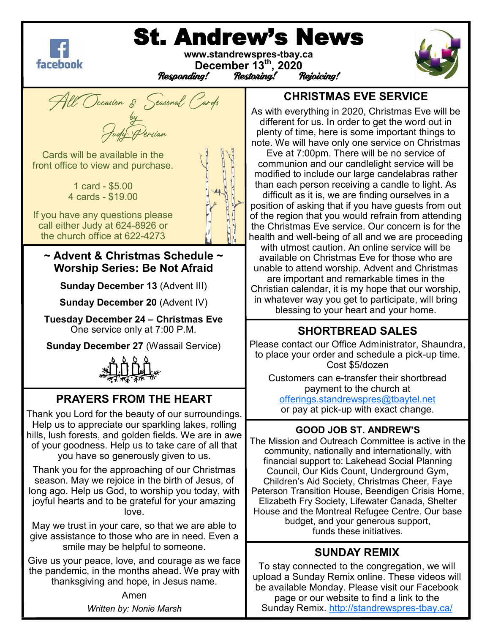

# St. Andrew's News

**www.standrewspres-tbay.ca December 13th, 2020** Responding!





#### **CHRISTMAS EVE SERVICE**

As with everything in 2020, Christmas Eve will be different for us. In order to get the word out in plenty of time, here is some important things to note. We will have only one service on Christmas

Eve at 7:00pm. There will be no service of communion and our candlelight service will be modified to include our large candelabras rather than each person receiving a candle to light. As difficult as it is, we are finding ourselves in a position of asking that if you have guests from out of the region that you would refrain from attending the Christmas Eve service. Our concern is for the health and well-being of all and we are proceeding with utmost caution. An online service will be available on Christmas Eve for those who are unable to attend worship. Advent and Christmas are important and remarkable times in the Christian calendar, it is my hope that our worship, in whatever way you get to participate, will bring blessing to your heart and your home.

### **SHORTBREAD SALES**

Please contact our Office Administrator, Shaundra, to place your order and schedule a pick-up time. Cost \$5/dozen

Customers can e-transfer their shortbread payment to the church at

[offerings.standrewspres@tbaytel.net](mailto:offerings.standrewspres@tbaytel.net) or pay at pick-up with exact change.

#### **GOOD JOB ST. ANDREW'S**

The Mission and Outreach Committee is active in the community, nationally and internationally, with financial support to: Lakehead Social Planning Council, Our Kids Count, Underground Gym, Children's Aid Society, Christmas Cheer, Faye Peterson Transition House, Beendigen Crisis Home, Elizabeth Fry Society, Lifewater Canada, Shelter House and the Montreal Refugee Centre. Our base budget, and your generous support, funds these initiatives.

#### **SUNDAY REMIX**

To stay connected to the congregation, we will upload a Sunday Remix online. These videos will be available Monday. Please visit our Facebook page or our website to find a link to the Sunday Remix. [http://standrewspres](http://standrewspres-tbay.ca/)-tbay.ca/